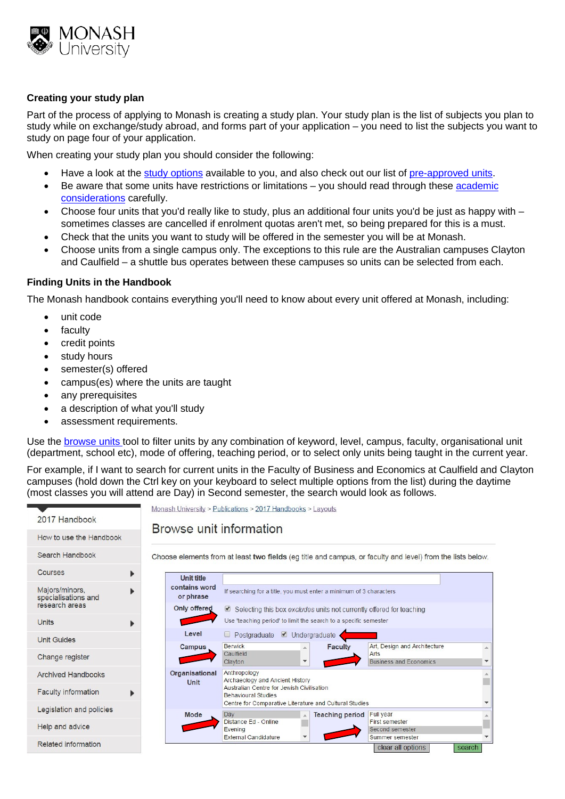

## **Creating your study plan**

Part of the process of applying to Monash is creating a study plan. Your study plan is the list of subjects you plan to study while on exchange/study abroad, and forms part of your application – you need to list the subjects you want to study on page four of your application.

When creating your study plan you should consider the following:

- Have a look at the [study options](http://www.monash.edu/study-abroad/inbound/study-options) available to you, and also check out our list of [pre-approved units.](http://www.monash.edu/study-abroad/inbound/study-options/pre-approved-units)
- Be aware that some units have restrictions or limitations you should read through these academic [considerations](http://www.monash.edu/study-abroad/inbound/study-options/academic-considerations) carefully.
- Choose four units that you'd really like to study, plus an additional four units you'd be just as happy with sometimes classes are cancelled if enrolment quotas aren't met, so being prepared for this is a must.
- Check that the units you want to study will be offered in the semester you will be at Monash.
- Choose units from a single campus only. The exceptions to this rule are the Australian campuses Clayton and Caulfield – a shuttle bus operates between these campuses so units can be selected from each.

### **Finding Units in the Handbook**

The Monash handbook contains everything you'll need to know about every unit offered at Monash, including:

- unit code
- **faculty**
- credit points
- study hours
- semester(s) offered
- campus(es) where the units are taught
- any prerequisites
- a description of what you'll study
- assessment requirements.

Use the [browse units](http://www.monash.edu.au/pubs/handbooks/units/search) tool to filter units by any combination of keyword, level, campus, faculty, organisational unit (department, school etc), mode of offering, teaching period, or to select only units being taught in the current year.

For example, if I want to search for current units in the Faculty of Business and Economics at Caulfield and Clayton campuses (hold down the Ctrl key on your keyboard to select multiple options from the list) during the daytime (most classes you will attend are Day) in Second semester, the search would look as follows.

| 2017 Handbook                         |                                                                  | Monash University > Publications > 2017 Handbooks > Layouts                                                |                        |                                          |                          |
|---------------------------------------|------------------------------------------------------------------|------------------------------------------------------------------------------------------------------------|------------------------|------------------------------------------|--------------------------|
| How to use the Handbook               | Browse unit information                                          |                                                                                                            |                        |                                          |                          |
| Search Handbook                       |                                                                  | Choose elements from at least two fields (eg title and campus, or faculty and level) from the lists below. |                        |                                          |                          |
| Courses                               | <b>Unit title</b>                                                |                                                                                                            |                        |                                          |                          |
| Majors/minors,<br>specialisations and | contains word<br>or phrase                                       | If searching for a title, you must enter a minimum of 3 characters                                         |                        |                                          |                          |
| research areas                        | Only offered                                                     | Selecting this box excludes units not currently offered for teaching                                       |                        |                                          |                          |
| <b>Units</b>                          | Use 'teaching period' to limit the search to a specific semester |                                                                                                            |                        |                                          |                          |
| <b>Unit Guides</b>                    | Level<br>□ Postgraduate ● Undergraduate                          |                                                                                                            |                        |                                          |                          |
|                                       | Campus                                                           | <b>Berwick</b><br>Caulfield                                                                                | Faculty                | Art, Design and Architecture<br>Arts     |                          |
| Change register                       |                                                                  | $\blacktriangledown$<br>Clayton                                                                            |                        | <b>Business and Economics</b>            | $\overline{\phantom{a}}$ |
| <b>Archived Handbooks</b>             | Organisational                                                   | Anthropology<br>Archaeology and Ancient History                                                            |                        |                                          |                          |
| <b>Faculty information</b>            | Unit                                                             | Australian Centre for Jewish Civilisation<br><b>Behavioural Studies</b>                                    |                        |                                          |                          |
| Legislation and policies              | Mode                                                             | Centre for Comparative Literature and Cultural Studies<br><b>Full</b> year<br>Day                          |                        |                                          |                          |
| Help and advice                       |                                                                  | Distance Ed - Online<br>Evening                                                                            | <b>Teaching period</b> | <b>First semester</b><br>Second semester |                          |
| <b>Related information</b>            |                                                                  | <b>External Candidature</b>                                                                                |                        | Summer semester<br>clear all options     | search                   |